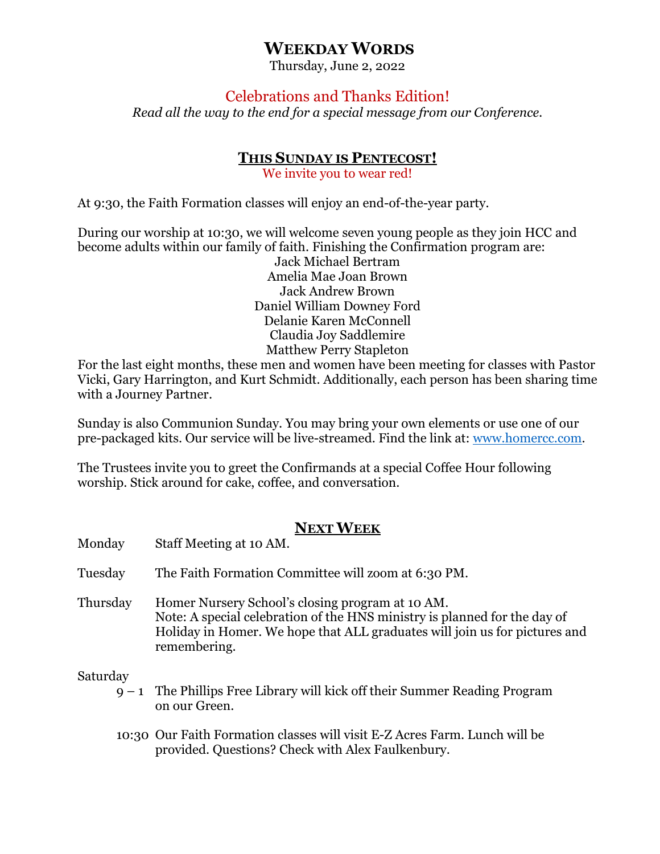# **WEEKDAY WORDS**

Thursday, June 2, 2022

# Celebrations and Thanks Edition!

*Read all the way to the end for a special message from our Conference.*

## **THIS SUNDAY IS PENTECOST!**

We invite you to wear red!

At 9:30, the Faith Formation classes will enjoy an end-of-the-year party.

During our worship at 10:30, we will welcome seven young people as they join HCC and become adults within our family of faith. Finishing the Confirmation program are:

Jack Michael Bertram Amelia Mae Joan Brown Jack Andrew Brown Daniel William Downey Ford Delanie Karen McConnell Claudia Joy Saddlemire Matthew Perry Stapleton

For the last eight months, these men and women have been meeting for classes with Pastor Vicki, Gary Harrington, and Kurt Schmidt. Additionally, each person has been sharing time with a Journey Partner.

Sunday is also Communion Sunday. You may bring your own elements or use one of our pre-packaged kits. Our service will be live-streamed. Find the link at: [www.homercc.com.](http://www.homercc.com/)

The Trustees invite you to greet the Confirmands at a special Coffee Hour following worship. Stick around for cake, coffee, and conversation.

# **NEXT WEEK**

| Monday   | Staff Meeting at 10 AM.                                                                                                                                                                                                     |
|----------|-----------------------------------------------------------------------------------------------------------------------------------------------------------------------------------------------------------------------------|
| Tuesday  | The Faith Formation Committee will zoom at 6:30 PM.                                                                                                                                                                         |
| Thursday | Homer Nursery School's closing program at 10 AM.<br>Note: A special celebration of the HNS ministry is planned for the day of<br>Holiday in Homer. We hope that ALL graduates will join us for pictures and<br>remembering. |
| Saturday | $9 - 1$ The Phillips Free Library will kick off their Summer Reading Program<br>on our Green.                                                                                                                               |
|          | 10:00 Our Foith Formation classes will visit F 7 Agree Farm Lungh will be                                                                                                                                                   |

10:30 Our Faith Formation classes will visit E-Z Acres Farm. Lunch will be provided. Questions? Check with Alex Faulkenbury.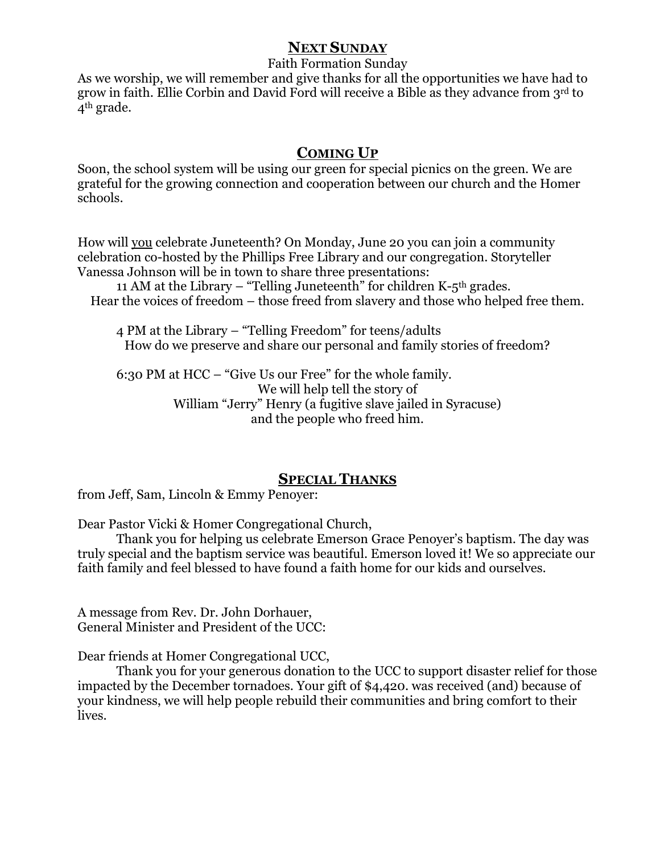#### **NEXT SUNDAY**

Faith Formation Sunday

As we worship, we will remember and give thanks for all the opportunities we have had to grow in faith. Ellie Corbin and David Ford will receive a Bible as they advance from 3rd to 4th grade.

## **COMING UP**

Soon, the school system will be using our green for special picnics on the green. We are grateful for the growing connection and cooperation between our church and the Homer schools.

How will you celebrate Juneteenth? On Monday, June 20 you can join a community celebration co-hosted by the Phillips Free Library and our congregation. Storyteller Vanessa Johnson will be in town to share three presentations:

11 AM at the Library – "Telling Juneteenth" for children K- $5<sup>th</sup>$  grades. Hear the voices of freedom – those freed from slavery and those who helped free them.

4 PM at the Library – "Telling Freedom" for teens/adults How do we preserve and share our personal and family stories of freedom?

6:30 PM at HCC – "Give Us our Free" for the whole family. We will help tell the story of William "Jerry" Henry (a fugitive slave jailed in Syracuse) and the people who freed him.

#### **SPECIAL THANKS**

from Jeff, Sam, Lincoln & Emmy Penoyer:

Dear Pastor Vicki & Homer Congregational Church,

Thank you for helping us celebrate Emerson Grace Penoyer's baptism. The day was truly special and the baptism service was beautiful. Emerson loved it! We so appreciate our faith family and feel blessed to have found a faith home for our kids and ourselves.

A message from Rev. Dr. John Dorhauer, General Minister and President of the UCC:

Dear friends at Homer Congregational UCC,

Thank you for your generous donation to the UCC to support disaster relief for those impacted by the December tornadoes. Your gift of \$4,420. was received (and) because of your kindness, we will help people rebuild their communities and bring comfort to their lives.